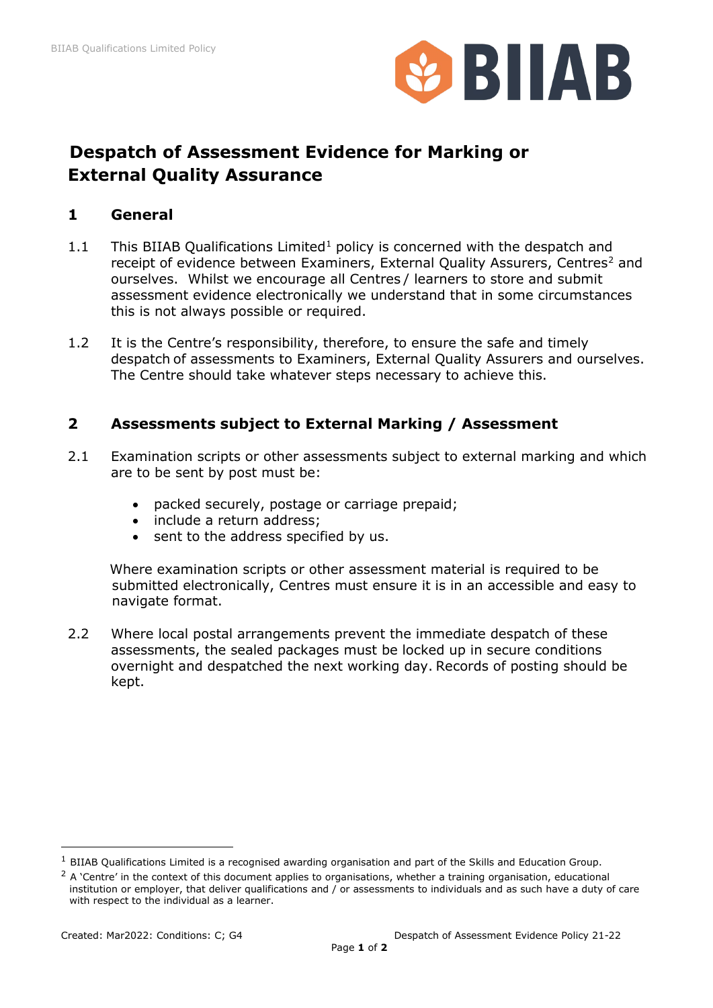

# **Despatch of Assessment Evidence for Marking or External Quality Assurance**

### **1 General**

- 1.1 This BIIAB Qualifications Limited<sup>1</sup> policy is concerned with the despatch and receipt of evidence between Examiners, External Quality Assurers, Centres<sup>[2](#page-0-1)</sup> and ourselves. Whilst we encourage all Centres / learners to store and submit assessment evidence electronically we understand that in some circumstances this is not always possible or required.
- 1.2 It is the Centre's responsibility, therefore, to ensure the safe and timely despatch of assessments to Examiners, External Quality Assurers and ourselves. The Centre should take whatever steps necessary to achieve this.

# **2 Assessments subject to External Marking / Assessment**

- 2.1 Examination scripts or other assessments subject to external marking and which are to be sent by post must be:
	- packed securely, postage or carriage prepaid;
	- include a return address;
	- sent to the address specified by us.

 Where examination scripts or other assessment material is required to be submitted electronically, Centres must ensure it is in an accessible and easy to navigate format.

2.2 Where local postal arrangements prevent the immediate despatch of these assessments, the sealed packages must be locked up in secure conditions overnight and despatched the next working day. Records of posting should be kept.

<span id="page-0-0"></span> $1$  BIIAB Qualifications Limited is a recognised awarding organisation and part of the Skills and Education Group.

<span id="page-0-1"></span> $2$  A 'Centre' in the context of this document applies to organisations, whether a training organisation, educational institution or employer, that deliver qualifications and / or assessments to individuals and as such have a duty of care with respect to the individual as a learner.